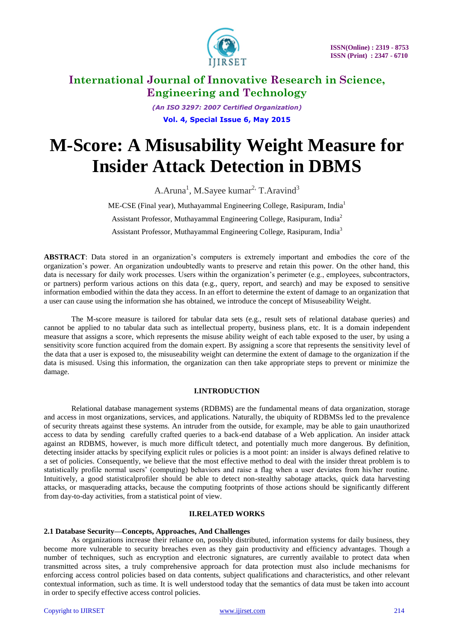

*(An ISO 3297: 2007 Certified Organization)* **Vol. 4, Special Issue 6, May 2015**

# **M-Score: A Misusability Weight Measure for Insider Attack Detection in DBMS**

A.Aruna<sup>1</sup>, M.Sayee kumar<sup>2,</sup> T.Aravind<sup>3</sup>

ME-CSE (Final year), Muthayammal Engineering College, Rasipuram, India<sup>1</sup>

Assistant Professor, Muthayammal Engineering College, Rasipuram, India<sup>2</sup>

Assistant Professor, Muthayammal Engineering College, Rasipuram, India<sup>3</sup>

**ABSTRACT**: Data stored in an organization's computers is extremely important and embodies the core of the organization's power. An organization undoubtedly wants to preserve and retain this power. On the other hand, this data is necessary for daily work processes. Users within the organization's perimeter (e.g., employees, subcontractors, or partners) perform various actions on this data (e.g., query, report, and search) and may be exposed to sensitive information embodied within the data they access. In an effort to determine the extent of damage to an organization that a user can cause using the information she has obtained, we introduce the concept of Misuseability Weight.

The M-score measure is tailored for tabular data sets (e.g., result sets of relational database queries) and cannot be applied to no tabular data such as intellectual property, business plans, etc. It is a domain independent measure that assigns a score, which represents the misuse ability weight of each table exposed to the user, by using a sensitivity score function acquired from the domain expert. By assigning a score that represents the sensitivity level of the data that a user is exposed to, the misuseability weight can determine the extent of damage to the organization if the data is misused. Using this information, the organization can then take appropriate steps to prevent or minimize the damage.

# **I.INTRODUCTION**

Relational database management systems (RDBMS) are the fundamental means of data organization, storage and access in most organizations, services, and applications. Naturally, the ubiquity of RDBMSs led to the prevalence of security threats against these systems. An intruder from the outside, for example, may be able to gain unauthorized access to data by sending carefully crafted queries to a back-end database of a Web application. An insider attack against an RDBMS, however, is much more difficult tdetect, and potentially much more dangerous. By definition, detecting insider attacks by specifying explicit rules or policies is a moot point: an insider is always defined relative to a set of policies. Consequently, we believe that the most effective method to deal with the insider threat problem is to statistically profile normal users' (computing) behaviors and raise a flag when a user deviates from his/her routine. Intuitively, a good statisticalprofiler should be able to detect non-stealthy sabotage attacks, quick data harvesting attacks, or masquerading attacks, because the computing footprints of those actions should be significantly different from day-to-day activities, from a statistical point of view.

# **II.RELATED WORKS**

# **2.1 Database Security—Concepts, Approaches, And Challenges**

As organizations increase their reliance on, possibly distributed, information systems for daily business, they become more vulnerable to security breaches even as they gain productivity and efficiency advantages. Though a number of techniques, such as encryption and electronic signatures, are currently available to protect data when transmitted across sites, a truly comprehensive approach for data protection must also include mechanisms for enforcing access control policies based on data contents, subject qualifications and characteristics, and other relevant contextual information, such as time. It is well understood today that the semantics of data must be taken into account in order to specify effective access control policies.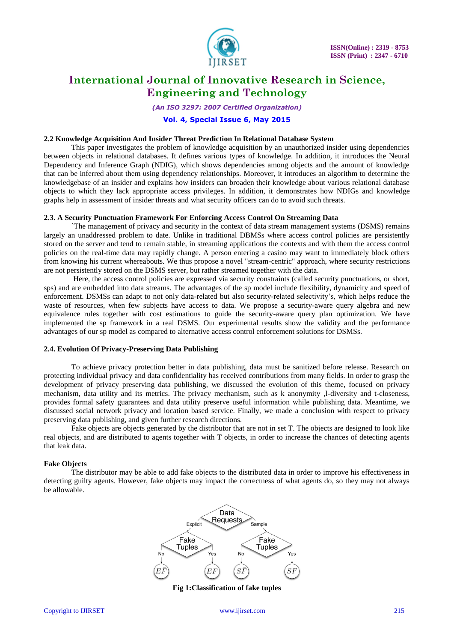

*(An ISO 3297: 2007 Certified Organization)*

## **Vol. 4, Special Issue 6, May 2015**

# **2.2 Knowledge Acquisition And Insider Threat Prediction In Relational Database System**

This paper investigates the problem of knowledge acquisition by an unauthorized insider using dependencies between objects in relational databases. It defines various types of knowledge. In addition, it introduces the Neural Dependency and Inference Graph (NDIG), which shows dependencies among objects and the amount of knowledge that can be inferred about them using dependency relationships. Moreover, it introduces an algorithm to determine the knowledgebase of an insider and explains how insiders can broaden their knowledge about various relational database objects to which they lack appropriate access privileges. In addition, it demonstrates how NDIGs and knowledge graphs help in assessment of insider threats and what security officers can do to avoid such threats.

#### **2.3. A Security Punctuation Framework For Enforcing Access Control On Streaming Data**

`The management of privacy and security in the context of data stream management systems (DSMS) remains largely an unaddressed problem to date. Unlike in traditional DBMSs where access control policies are persistently stored on the server and tend to remain stable, in streaming applications the contexts and with them the access control policies on the real-time data may rapidly change. A person entering a casino may want to immediately block others from knowing his current whereabouts. We thus propose a novel "stream-centric" approach, where security restrictions are not persistently stored on the DSMS server, but rather streamed together with the data.

Here, the access control policies are expressed via security constraints (called security punctuations, or short, sps) and are embedded into data streams. The advantages of the sp model include flexibility, dynamicity and speed of enforcement. DSMSs can adapt to not only data-related but also security-related selectivity's, which helps reduce the waste of resources, when few subjects have access to data. We propose a security-aware query algebra and new equivalence rules together with cost estimations to guide the security-aware query plan optimization. We have implemented the sp framework in a real DSMS. Our experimental results show the validity and the performance advantages of our sp model as compared to alternative access control enforcement solutions for DSMSs.

# **2.4. Evolution Of Privacy-Preserving Data Publishing**

To achieve privacy protection better in data publishing, data must be sanitized before release. Research on protecting individual privacy and data confidentiality has received contributions from many fields. In order to grasp the development of privacy preserving data publishing, we discussed the evolution of this theme, focused on privacy mechanism, data utility and its metrics. The privacy mechanism, such as k anonymity ,l-diversity and t-closeness, provides formal safety guarantees and data utility preserve useful information while publishing data. Meantime, we discussed social network privacy and location based service. Finally, we made a conclusion with respect to privacy preserving data publishing, and given further research directions.

Fake objects are objects generated by the distributor that are not in set T. The objects are designed to look like real objects, and are distributed to agents together with T objects, in order to increase the chances of detecting agents that leak data.

#### **Fake Objects**

The distributor may be able to add fake objects to the distributed data in order to improve his effectiveness in detecting guilty agents. However, fake objects may impact the correctness of what agents do, so they may not always be allowable.



**Fig 1:Classification of fake tuples**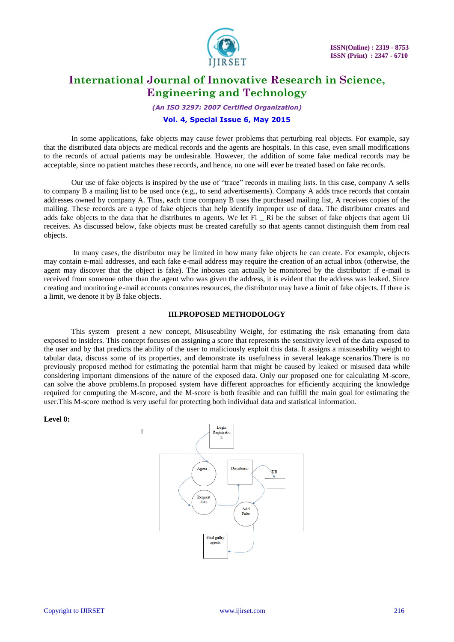

*(An ISO 3297: 2007 Certified Organization)*

### **Vol. 4, Special Issue 6, May 2015**

In some applications, fake objects may cause fewer problems that perturbing real objects. For example, say that the distributed data objects are medical records and the agents are hospitals. In this case, even small modifications to the records of actual patients may be undesirable. However, the addition of some fake medical records may be acceptable, since no patient matches these records, and hence, no one will ever be treated based on fake records.

Our use of fake objects is inspired by the use of "trace" records in mailing lists. In this case, company A sells to company B a mailing list to be used once (e.g., to send advertisements). Company A adds trace records that contain addresses owned by company A. Thus, each time company B uses the purchased mailing list, A receives copies of the mailing. These records are a type of fake objects that help identify improper use of data. The distributor creates and adds fake objects to the data that he distributes to agents. We let Fi Ri be the subset of fake objects that agent Ui receives. As discussed below, fake objects must be created carefully so that agents cannot distinguish them from real objects.

In many cases, the distributor may be limited in how many fake objects he can create. For example, objects may contain e-mail addresses, and each fake e-mail address may require the creation of an actual inbox (otherwise, the agent may discover that the object is fake). The inboxes can actually be monitored by the distributor: if e-mail is received from someone other than the agent who was given the address, it is evident that the address was leaked. Since creating and monitoring e-mail accounts consumes resources, the distributor may have a limit of fake objects. If there is a limit, we denote it by B fake objects.

#### **III.PROPOSED METHODOLOGY**

This system present a new concept, Misuseability Weight, for estimating the risk emanating from data exposed to insiders. This concept focuses on assigning a score that represents the sensitivity level of the data exposed to the user and by that predicts the ability of the user to maliciously exploit this data. It assigns a misuseability weight to tabular data, discuss some of its properties, and demonstrate its usefulness in several leakage scenarios.There is no previously proposed method for estimating the potential harm that might be caused by leaked or misused data while considering important dimensions of the nature of the exposed data. Only our proposed one for calculating M-score, can solve the above problems.In proposed system have different approaches for efficiently acquiring the knowledge required for computing the M-score, and the M-score is both feasible and can fulfill the main goal for estimating the user.This M-score method is very useful for protecting both individual data and statistical information.

#### **Level 0:**

 $\overline{1}$ 

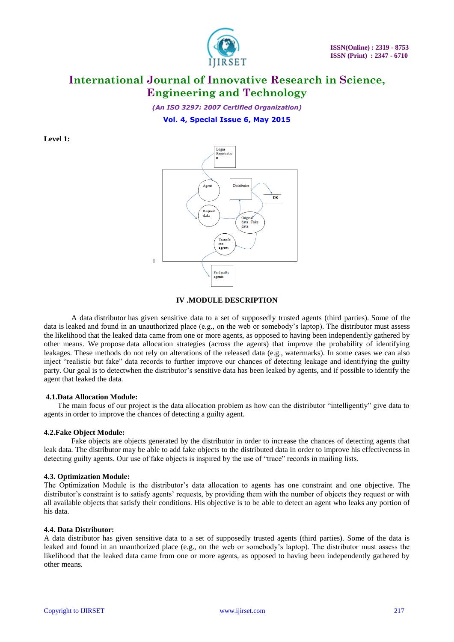

*(An ISO 3297: 2007 Certified Organization)* **Vol. 4, Special Issue 6, May 2015**

**Level 1:**



# **IV .MODULE DESCRIPTION**

A data distributor has given sensitive data to a set of supposedly trusted agents (third parties). Some of the data is leaked and found in an unauthorized place (e.g., on the web or somebody's laptop). The distributor must assess the likelihood that the leaked data came from one or more agents, as opposed to having been independently gathered by other means. We propose data allocation strategies (across the agents) that improve the probability of identifying leakages. These methods do not rely on alterations of the released data (e.g., watermarks). In some cases we can also inject "realistic but fake" data records to further improve our chances of detecting leakage and identifying the guilty party. Our goal is to detectwhen the distributor's sensitive data has been leaked by agents, and if possible to identify the agent that leaked the data.

#### **4.1.Data Allocation Module:**

The main focus of our project is the data allocation problem as how can the distributor "intelligently" give data to agents in order to improve the chances of detecting a guilty agent.

# **4.2.Fake Object Module:**

Fake objects are objects generated by the distributor in order to increase the chances of detecting agents that leak data. The distributor may be able to add fake objects to the distributed data in order to improve his effectiveness in detecting guilty agents. Our use of fake objects is inspired by the use of "trace" records in mailing lists.

#### **4.3. Optimization Module:**

The Optimization Module is the distributor's data allocation to agents has one constraint and one objective. The distributor's constraint is to satisfy agents' requests, by providing them with the number of objects they request or with all available objects that satisfy their conditions. His objective is to be able to detect an agent who leaks any portion of his data.

## **4.4. Data Distributor:**

A data distributor has given sensitive data to a set of supposedly trusted agents (third parties). Some of the data is leaked and found in an unauthorized place (e.g., on the web or somebody's laptop). The distributor must assess the likelihood that the leaked data came from one or more agents, as opposed to having been independently gathered by other means.